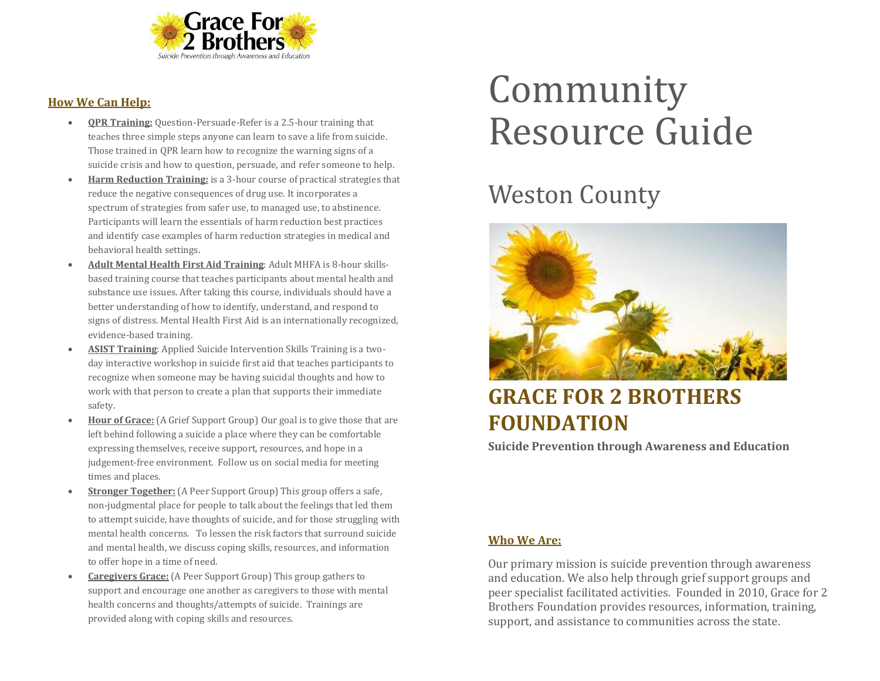

#### **How We Can Help:**

- **QPR Training:** Question-Persuade-Refer is a 2.5-hour training that teaches three simple steps anyone can learn to save a life from suicide. Those trained in QPR learn how to recognize the warning signs of a suicide crisis and how to question, persuade, and refer someone to help.
- **Harm Reduction Training:** is a 3-hour course of practical strategies that reduce the negative consequences of drug use. It incorporates a spectrum of strategies from safer use, to managed use, to abstinence. Participants will learn the essentials of harm reduction best practices and identify case examples of harm reduction strategies in medical and behavioral health settings.
- **Adult Mental Health First Aid Training**: Adult MHFA is 8-hour skillsbased training course that teaches participants about mental health and substance use issues. After taking this course, individuals should have a better understanding of how to identify, understand, and respond to signs of distress. Mental Health First Aid is an internationally recognized, evidence-based training.
- **ASIST Training**: Applied Suicide Intervention Skills Training is a twoday interactive workshop in suicide first aid that teaches participants to recognize when someone may be having suicidal thoughts and how to work with that person to create a plan that supports their immediate safety.
- **Hour of Grace:** (A Grief Support Group) Our goal is to give those that are left behind following a suicide a place where they can be comfortable expressing themselves, receive support, resources, and hope in a judgement-free environment. Follow us on social media for meeting times and places.
- **Stronger Together:** (A Peer Support Group) This group offers a safe, non-judgmental place for people to talk about the feelings that led them to attempt suicide, have thoughts of suicide, and for those struggling with mental health concerns. To lessen the risk factors that surround suicide and mental health, we discuss coping skills, resources, and information to offer hope in a time of need.
- **Caregivers Grace:** (A Peer Support Group) This group gathers to support and encourage one another as caregivers to those with mental health concerns and thoughts/attempts of suicide. Trainings are provided along with coping skills and resources.

# Community Resource Guide

## Weston County



### **GRACE FOR 2 BROTHERS FOUNDATION**

**Suicide Prevention through Awareness and Education**

#### **Who We Are:**

Our primary mission is suicide prevention through awareness and education. We also help through grief support groups and peer specialist facilitated activities. Founded in 2010, Grace for 2 Brothers Foundation provides resources, information, training, support, and assistance to communities across the state.